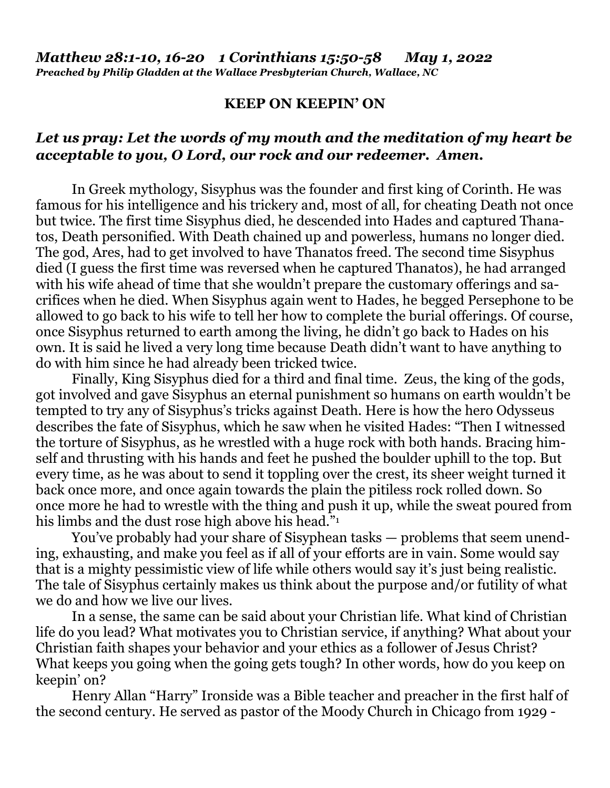## **KEEP ON KEEPIN' ON**

## *Let us pray: Let the words of my mouth and the meditation of my heart be acceptable to you, O Lord, our rock and our redeemer. Amen.*

In Greek mythology, Sisyphus was the founder and first king of Corinth. He was famous for his intelligence and his trickery and, most of all, for cheating Death not once but twice. The first time Sisyphus died, he descended into Hades and captured Thanatos, Death personified. With Death chained up and powerless, humans no longer died. The god, Ares, had to get involved to have Thanatos freed. The second time Sisyphus died (I guess the first time was reversed when he captured Thanatos), he had arranged with his wife ahead of time that she wouldn't prepare the customary offerings and sacrifices when he died. When Sisyphus again went to Hades, he begged Persephone to be allowed to go back to his wife to tell her how to complete the burial offerings. Of course, once Sisyphus returned to earth among the living, he didn't go back to Hades on his own. It is said he lived a very long time because Death didn't want to have anything to do with him since he had already been tricked twice.

 Finally, King Sisyphus died for a third and final time. Zeus, the king of the gods, got involved and gave Sisyphus an eternal punishment so humans on earth wouldn't be tempted to try any of Sisyphus's tricks against Death. Here is how the hero Odysseus describes the fate of Sisyphus, which he saw when he visited Hades: "Then I witnessed the torture of Sisyphus, as he wrestled with a huge rock with both hands. Bracing himself and thrusting with his hands and feet he pushed the boulder uphill to the top. But every time, as he was about to send it toppling over the crest, its sheer weight turned it back once more, and once again towards the plain the pitiless rock rolled down. So once more he had to wrestle with the thing and push it up, while the sweat poured from his limbs and the dust rose high above his head."<sup>1</sup>

 You've probably had your share of Sisyphean tasks — problems that seem unending, exhausting, and make you feel as if all of your efforts are in vain. Some would say that is a mighty pessimistic view of life while others would say it's just being realistic. The tale of Sisyphus certainly makes us think about the purpose and/or futility of what we do and how we live our lives.

 In a sense, the same can be said about your Christian life. What kind of Christian life do you lead? What motivates you to Christian service, if anything? What about your Christian faith shapes your behavior and your ethics as a follower of Jesus Christ? What keeps you going when the going gets tough? In other words, how do you keep on keepin' on?

 Henry Allan "Harry" Ironside was a Bible teacher and preacher in the first half of the second century. He served as pastor of the Moody Church in Chicago from 1929 -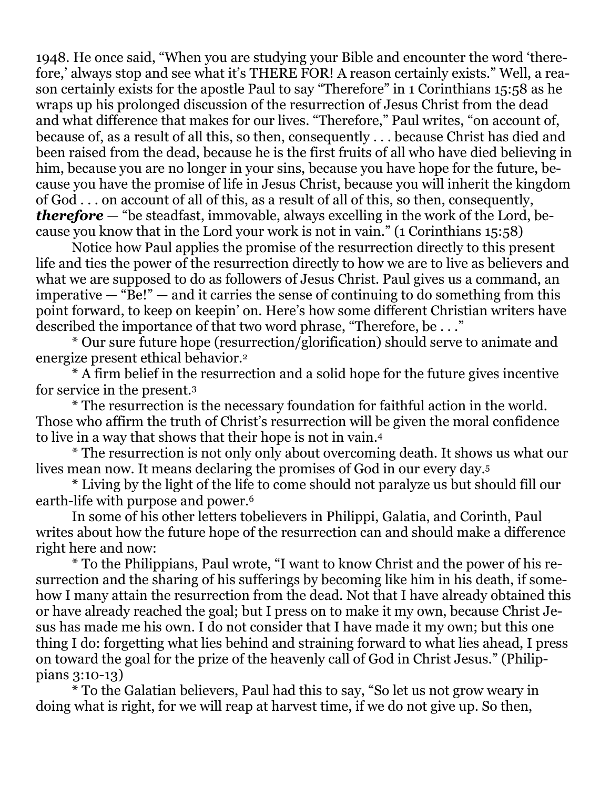1948. He once said, "When you are studying your Bible and encounter the word 'therefore,' always stop and see what it's THERE FOR! A reason certainly exists." Well, a reason certainly exists for the apostle Paul to say "Therefore" in 1 Corinthians 15:58 as he wraps up his prolonged discussion of the resurrection of Jesus Christ from the dead and what difference that makes for our lives. "Therefore," Paul writes, "on account of, because of, as a result of all this, so then, consequently . . . because Christ has died and been raised from the dead, because he is the first fruits of all who have died believing in him, because you are no longer in your sins, because you have hope for the future, because you have the promise of life in Jesus Christ, because you will inherit the kingdom of God . . . on account of all of this, as a result of all of this, so then, consequently, *therefore* — "be steadfast, immovable, always excelling in the work of the Lord, because you know that in the Lord your work is not in vain." (1 Corinthians 15:58)

 Notice how Paul applies the promise of the resurrection directly to this present life and ties the power of the resurrection directly to how we are to live as believers and what we are supposed to do as followers of Jesus Christ. Paul gives us a command, an imperative  $-$  "Be!"  $-$  and it carries the sense of continuing to do something from this point forward, to keep on keepin' on. Here's how some different Christian writers have described the importance of that two word phrase, "Therefore, be . . ."

 \* Our sure future hope (resurrection/glorification) should serve to animate and energize present ethical behavior.<sup>2</sup>

 \* A firm belief in the resurrection and a solid hope for the future gives incentive for service in the present.<sup>3</sup>

 \* The resurrection is the necessary foundation for faithful action in the world. Those who affirm the truth of Christ's resurrection will be given the moral confidence to live in a way that shows that their hope is not in vain.<sup>4</sup>

 \* The resurrection is not only only about overcoming death. It shows us what our lives mean now. It means declaring the promises of God in our every day.<sup>5</sup>

 \* Living by the light of the life to come should not paralyze us but should fill our earth-life with purpose and power.<sup>6</sup>

In some of his other letters tobelievers in Philippi, Galatia, and Corinth, Paul writes about how the future hope of the resurrection can and should make a difference right here and now:

 \* To the Philippians, Paul wrote, "I want to know Christ and the power of his resurrection and the sharing of his sufferings by becoming like him in his death, if somehow I many attain the resurrection from the dead. Not that I have already obtained this or have already reached the goal; but I press on to make it my own, because Christ Jesus has made me his own. I do not consider that I have made it my own; but this one thing I do: forgetting what lies behind and straining forward to what lies ahead, I press on toward the goal for the prize of the heavenly call of God in Christ Jesus." (Philippians 3:10-13)

 \* To the Galatian believers, Paul had this to say, "So let us not grow weary in doing what is right, for we will reap at harvest time, if we do not give up. So then,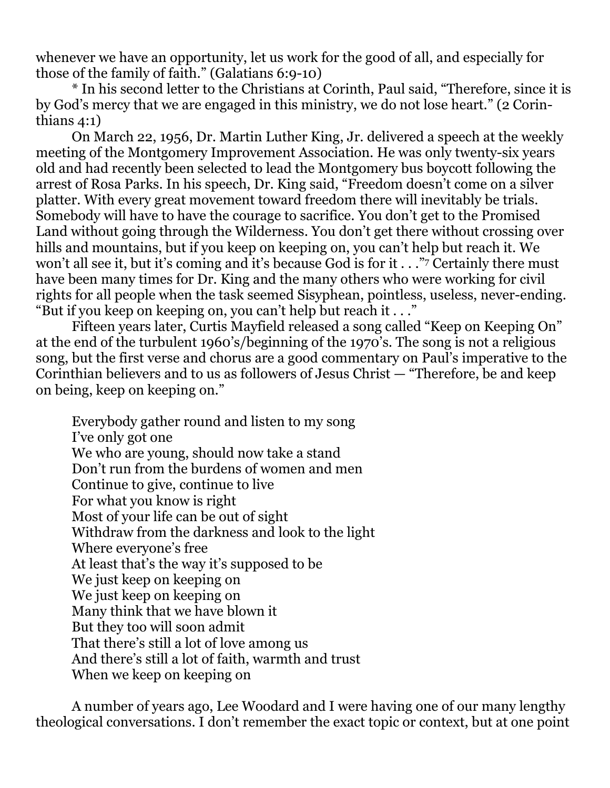whenever we have an opportunity, let us work for the good of all, and especially for those of the family of faith." (Galatians 6:9-10)

 \* In his second letter to the Christians at Corinth, Paul said, "Therefore, since it is by God's mercy that we are engaged in this ministry, we do not lose heart." (2 Corinthians 4:1)

 On March 22, 1956, Dr. Martin Luther King, Jr. delivered a speech at the weekly meeting of the Montgomery Improvement Association. He was only twenty-six years old and had recently been selected to lead the Montgomery bus boycott following the arrest of Rosa Parks. In his speech, Dr. King said, "Freedom doesn't come on a silver platter. With every great movement toward freedom there will inevitably be trials. Somebody will have to have the courage to sacrifice. You don't get to the Promised Land without going through the Wilderness. You don't get there without crossing over hills and mountains, but if you keep on keeping on, you can't help but reach it. We won't all see it, but it's coming and it's because God is for it . . ."<sup>7</sup> Certainly there must have been many times for Dr. King and the many others who were working for civil rights for all people when the task seemed Sisyphean, pointless, useless, never-ending. "But if you keep on keeping on, you can't help but reach it . . ."

 Fifteen years later, Curtis Mayfield released a song called "Keep on Keeping On" at the end of the turbulent 1960's/beginning of the 1970's. The song is not a religious song, but the first verse and chorus are a good commentary on Paul's imperative to the Corinthian believers and to us as followers of Jesus Christ — "Therefore, be and keep on being, keep on keeping on."

 Everybody gather round and listen to my song I've only got one We who are young, should now take a stand Don't run from the burdens of women and men Continue to give, continue to live For what you know is right Most of your life can be out of sight Withdraw from the darkness and look to the light Where everyone's free At least that's the way it's supposed to be We just keep on keeping on We just keep on keeping on Many think that we have blown it But they too will soon admit That there's still a lot of love among us And there's still a lot of faith, warmth and trust When we keep on keeping on

 A number of years ago, Lee Woodard and I were having one of our many lengthy theological conversations. I don't remember the exact topic or context, but at one point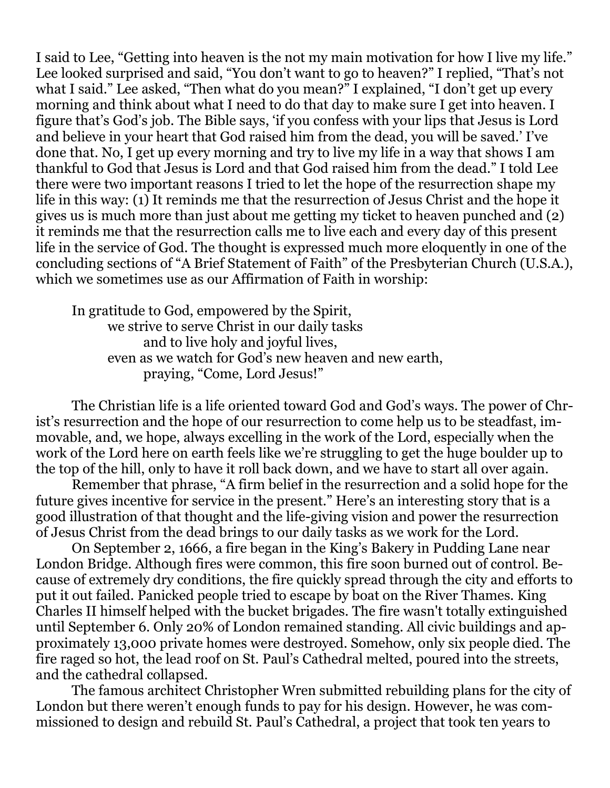I said to Lee, "Getting into heaven is the not my main motivation for how I live my life." Lee looked surprised and said, "You don't want to go to heaven?" I replied, "That's not what I said." Lee asked, "Then what do you mean?" I explained, "I don't get up every morning and think about what I need to do that day to make sure I get into heaven. I figure that's God's job. The Bible says, 'if you confess with your lips that Jesus is Lord and believe in your heart that God raised him from the dead, you will be saved.' I've done that. No, I get up every morning and try to live my life in a way that shows I am thankful to God that Jesus is Lord and that God raised him from the dead." I told Lee there were two important reasons I tried to let the hope of the resurrection shape my life in this way: (1) It reminds me that the resurrection of Jesus Christ and the hope it gives us is much more than just about me getting my ticket to heaven punched and (2) it reminds me that the resurrection calls me to live each and every day of this present life in the service of God. The thought is expressed much more eloquently in one of the concluding sections of "A Brief Statement of Faith" of the Presbyterian Church (U.S.A.), which we sometimes use as our Affirmation of Faith in worship:

 In gratitude to God, empowered by the Spirit, we strive to serve Christ in our daily tasks and to live holy and joyful lives, even as we watch for God's new heaven and new earth, praying, "Come, Lord Jesus!"

 The Christian life is a life oriented toward God and God's ways. The power of Christ's resurrection and the hope of our resurrection to come help us to be steadfast, immovable, and, we hope, always excelling in the work of the Lord, especially when the work of the Lord here on earth feels like we're struggling to get the huge boulder up to the top of the hill, only to have it roll back down, and we have to start all over again.

 Remember that phrase, "A firm belief in the resurrection and a solid hope for the future gives incentive for service in the present." Here's an interesting story that is a good illustration of that thought and the life-giving vision and power the resurrection of Jesus Christ from the dead brings to our daily tasks as we work for the Lord.

 On September 2, 1666, a fire began in the King's Bakery in Pudding Lane near London Bridge. Although fires were common, this fire soon burned out of control. Because of extremely dry conditions, the fire quickly spread through the city and efforts to put it out failed. Panicked people tried to escape by boat on the River Thames. King Charles II himself helped with the bucket brigades. The fire wasn't totally extinguished until September 6. Only 20% of London remained standing. All civic buildings and approximately 13,000 private homes were destroyed. Somehow, only six people died. The fire raged so hot, the lead roof on St. Paul's Cathedral melted, poured into the streets, and the cathedral collapsed.

 The famous architect Christopher Wren submitted rebuilding plans for the city of London but there weren't enough funds to pay for his design. However, he was commissioned to design and rebuild St. Paul's Cathedral, a project that took ten years to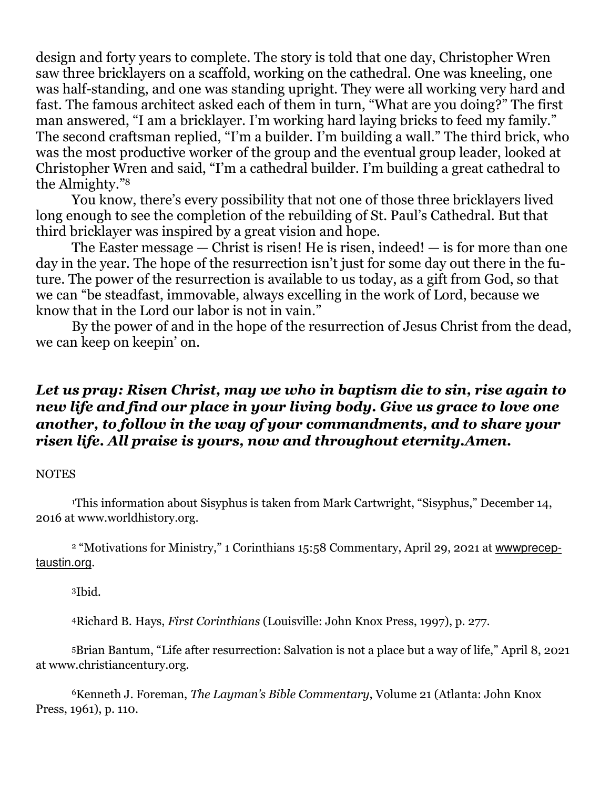design and forty years to complete. The story is told that one day, Christopher Wren saw three bricklayers on a scaffold, working on the cathedral. One was kneeling, one was half-standing, and one was standing upright. They were all working very hard and fast. The famous architect asked each of them in turn, "What are you doing?" The first man answered, "I am a bricklayer. I'm working hard laying bricks to feed my family." The second craftsman replied, "I'm a builder. I'm building a wall." The third brick, who was the most productive worker of the group and the eventual group leader, looked at Christopher Wren and said, "I'm a cathedral builder. I'm building a great cathedral to the Almighty."<sup>8</sup>

 You know, there's every possibility that not one of those three bricklayers lived long enough to see the completion of the rebuilding of St. Paul's Cathedral. But that third bricklayer was inspired by a great vision and hope.

The Easter message  $-$  Christ is risen! He is risen, indeed!  $-$  is for more than one day in the year. The hope of the resurrection isn't just for some day out there in the future. The power of the resurrection is available to us today, as a gift from God, so that we can "be steadfast, immovable, always excelling in the work of Lord, because we know that in the Lord our labor is not in vain."

 By the power of and in the hope of the resurrection of Jesus Christ from the dead, we can keep on keepin' on.

## *Let us pray: Risen Christ, may we who in baptism die to sin, rise again to new life and find our place in your living body. Give us grace to love one another, to follow in the way of your commandments, and to share your risen life. All praise is yours, now and throughout eternity.Amen.*

## **NOTES**

<sup>1</sup>This information about Sisyphus is taken from Mark Cartwright, "Sisyphus," December 14, 2016 at www.worldhistory.org.

2 "Motivations for Ministry," 1 Corinthians 15:58 Commentary, April 29, 2021 at wwwpreceptaustin.org.

<sup>3</sup>Ibid.

<sup>4</sup>Richard B. Hays, *First Corinthians* (Louisville: John Knox Press, 1997), p. 277.

<sup>5</sup>Brian Bantum, "Life after resurrection: Salvation is not a place but a way of life," April 8, 2021 at www.christiancentury.org.

<sup>6</sup>Kenneth J. Foreman, *The Layman's Bible Commentary*, Volume 21 (Atlanta: John Knox Press, 1961), p. 110.